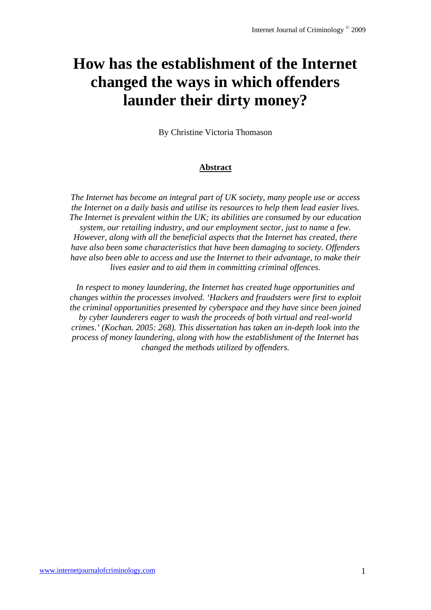# **How has the establishment of the Internet changed the ways in which offenders launder their dirty money?**

By Christine Victoria Thomason

## **Abstract**

*The Internet has become an integral part of UK society, many people use or access the Internet on a daily basis and utilise its resources to help them lead easier lives. The Internet is prevalent within the UK; its abilities are consumed by our education system, our retailing industry, and our employment sector, just to name a few. However, along with all the beneficial aspects that the Internet has created, there have also been some characteristics that have been damaging to society. Offenders have also been able to access and use the Internet to their advantage, to make their lives easier and to aid them in committing criminal offences.* 

*In respect to money laundering, the Internet has created huge opportunities and changes within the processes involved. 'Hackers and fraudsters were first to exploit the criminal opportunities presented by cyberspace and they have since been joined by cyber launderers eager to wash the proceeds of both virtual and real-world crimes.' (Kochan. 2005: 268). This dissertation has taken an in-depth look into the process of money laundering, along with how the establishment of the Internet has changed the methods utilized by offenders.*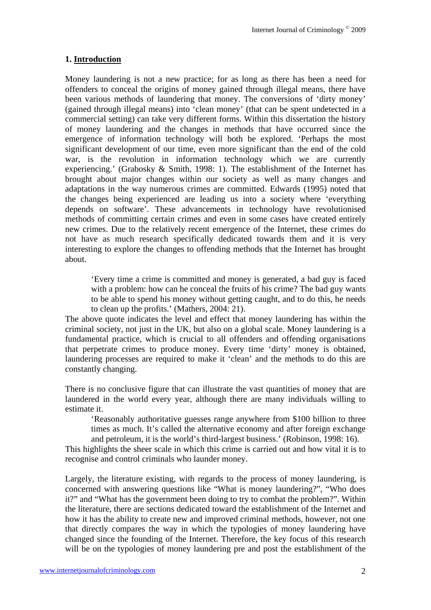# **1. Introduction**

Money laundering is not a new practice; for as long as there has been a need for offenders to conceal the origins of money gained through illegal means, there have been various methods of laundering that money. The conversions of 'dirty money' (gained through illegal means) into 'clean money' (that can be spent undetected in a commercial setting) can take very different forms. Within this dissertation the history of money laundering and the changes in methods that have occurred since the emergence of information technology will both be explored. 'Perhaps the most significant development of our time, even more significant than the end of the cold war, is the revolution in information technology which we are currently experiencing.' (Grabosky & Smith, 1998: 1). The establishment of the Internet has brought about major changes within our society as well as many changes and adaptations in the way numerous crimes are committed. Edwards (1995) noted that the changes being experienced are leading us into a society where 'everything depends on software'. These advancements in technology have revolutionised methods of committing certain crimes and even in some cases have created entirely new crimes. Due to the relatively recent emergence of the Internet, these crimes do not have as much research specifically dedicated towards them and it is very interesting to explore the changes to offending methods that the Internet has brought about.

'Every time a crime is committed and money is generated, a bad guy is faced with a problem: how can he conceal the fruits of his crime? The bad guy wants to be able to spend his money without getting caught, and to do this, he needs to clean up the profits.' (Mathers, 2004: 21).

The above quote indicates the level and effect that money laundering has within the criminal society, not just in the UK, but also on a global scale. Money laundering is a fundamental practice, which is crucial to all offenders and offending organisations that perpetrate crimes to produce money. Every time 'dirty' money is obtained, laundering processes are required to make it 'clean' and the methods to do this are constantly changing.

There is no conclusive figure that can illustrate the vast quantities of money that are laundered in the world every year, although there are many individuals willing to estimate it.

'Reasonably authoritative guesses range anywhere from \$100 billion to three times as much. It's called the alternative economy and after foreign exchange and petroleum, it is the world's third-largest business.' (Robinson, 1998: 16).

This highlights the sheer scale in which this crime is carried out and how vital it is to recognise and control criminals who launder money.

Largely, the literature existing, with regards to the process of money laundering, is concerned with answering questions like "What is money laundering?", "Who does it?" and "What has the government been doing to try to combat the problem?". Within the literature, there are sections dedicated toward the establishment of the Internet and how it has the ability to create new and improved criminal methods, however, not one that directly compares the way in which the typologies of money laundering have changed since the founding of the Internet. Therefore, the key focus of this research will be on the typologies of money laundering pre and post the establishment of the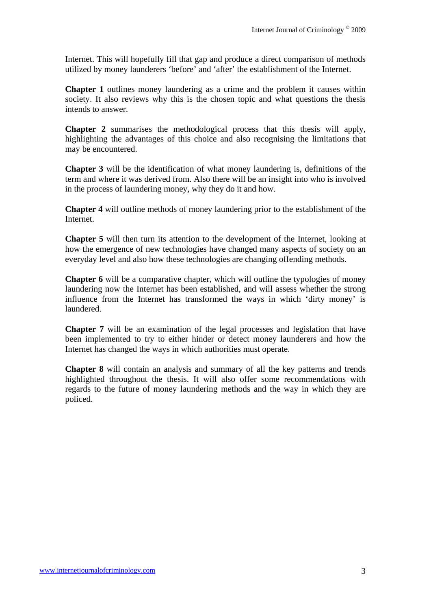Internet. This will hopefully fill that gap and produce a direct comparison of methods utilized by money launderers 'before' and 'after' the establishment of the Internet.

**Chapter 1** outlines money laundering as a crime and the problem it causes within society. It also reviews why this is the chosen topic and what questions the thesis intends to answer.

**Chapter 2** summarises the methodological process that this thesis will apply, highlighting the advantages of this choice and also recognising the limitations that may be encountered.

**Chapter 3** will be the identification of what money laundering is, definitions of the term and where it was derived from. Also there will be an insight into who is involved in the process of laundering money, why they do it and how.

**Chapter 4** will outline methods of money laundering prior to the establishment of the Internet.

**Chapter 5** will then turn its attention to the development of the Internet, looking at how the emergence of new technologies have changed many aspects of society on an everyday level and also how these technologies are changing offending methods.

**Chapter 6** will be a comparative chapter, which will outline the typologies of money laundering now the Internet has been established, and will assess whether the strong influence from the Internet has transformed the ways in which 'dirty money' is laundered.

**Chapter 7** will be an examination of the legal processes and legislation that have been implemented to try to either hinder or detect money launderers and how the Internet has changed the ways in which authorities must operate.

**Chapter 8** will contain an analysis and summary of all the key patterns and trends highlighted throughout the thesis. It will also offer some recommendations with regards to the future of money laundering methods and the way in which they are policed.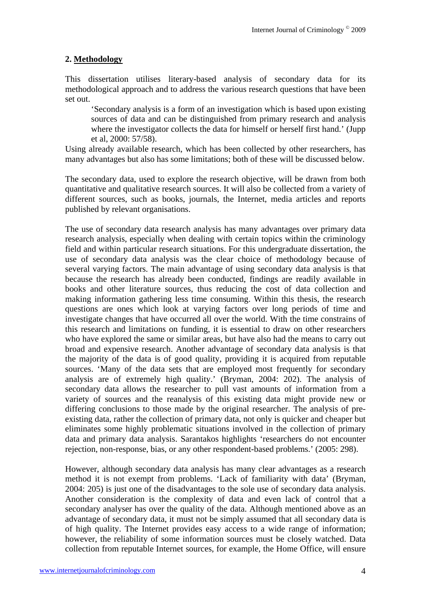# **2. Methodology**

This dissertation utilises literary-based analysis of secondary data for its methodological approach and to address the various research questions that have been set out.

'Secondary analysis is a form of an investigation which is based upon existing sources of data and can be distinguished from primary research and analysis where the investigator collects the data for himself or herself first hand.' (Jupp et al, 2000: 57/58).

Using already available research, which has been collected by other researchers, has many advantages but also has some limitations; both of these will be discussed below.

The secondary data, used to explore the research objective, will be drawn from both quantitative and qualitative research sources. It will also be collected from a variety of different sources, such as books, journals, the Internet, media articles and reports published by relevant organisations.

The use of secondary data research analysis has many advantages over primary data research analysis, especially when dealing with certain topics within the criminology field and within particular research situations. For this undergraduate dissertation, the use of secondary data analysis was the clear choice of methodology because of several varying factors. The main advantage of using secondary data analysis is that because the research has already been conducted, findings are readily available in books and other literature sources, thus reducing the cost of data collection and making information gathering less time consuming. Within this thesis, the research questions are ones which look at varying factors over long periods of time and investigate changes that have occurred all over the world. With the time constrains of this research and limitations on funding, it is essential to draw on other researchers who have explored the same or similar areas, but have also had the means to carry out broad and expensive research. Another advantage of secondary data analysis is that the majority of the data is of good quality, providing it is acquired from reputable sources. 'Many of the data sets that are employed most frequently for secondary analysis are of extremely high quality.' (Bryman, 2004: 202). The analysis of secondary data allows the researcher to pull vast amounts of information from a variety of sources and the reanalysis of this existing data might provide new or differing conclusions to those made by the original researcher. The analysis of preexisting data, rather the collection of primary data, not only is quicker and cheaper but eliminates some highly problematic situations involved in the collection of primary data and primary data analysis. Sarantakos highlights 'researchers do not encounter rejection, non-response, bias, or any other respondent-based problems.' (2005: 298).

However, although secondary data analysis has many clear advantages as a research method it is not exempt from problems. 'Lack of familiarity with data' (Bryman, 2004: 205) is just one of the disadvantages to the sole use of secondary data analysis. Another consideration is the complexity of data and even lack of control that a secondary analyser has over the quality of the data. Although mentioned above as an advantage of secondary data, it must not be simply assumed that all secondary data is of high quality. The Internet provides easy access to a wide range of information; however, the reliability of some information sources must be closely watched. Data collection from reputable Internet sources, for example, the Home Office, will ensure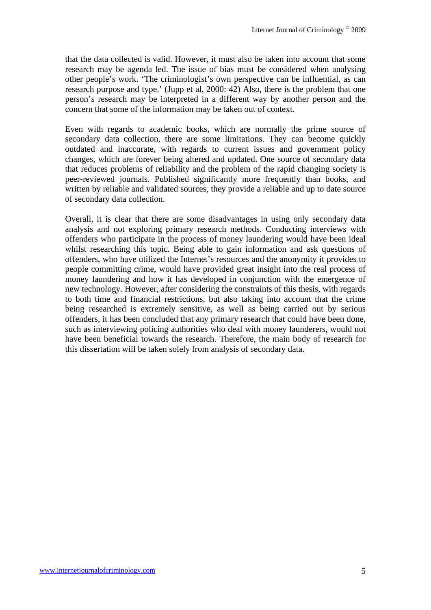that the data collected is valid. However, it must also be taken into account that some research may be agenda led. The issue of bias must be considered when analysing other people's work. 'The criminologist's own perspective can be influential, as can research purpose and type.' (Jupp et al, 2000: 42) Also, there is the problem that one person's research may be interpreted in a different way by another person and the concern that some of the information may be taken out of context.

Even with regards to academic books, which are normally the prime source of secondary data collection, there are some limitations. They can become quickly outdated and inaccurate, with regards to current issues and government policy changes, which are forever being altered and updated. One source of secondary data that reduces problems of reliability and the problem of the rapid changing society is peer-reviewed journals. Published significantly more frequently than books, and written by reliable and validated sources, they provide a reliable and up to date source of secondary data collection.

Overall, it is clear that there are some disadvantages in using only secondary data analysis and not exploring primary research methods. Conducting interviews with offenders who participate in the process of money laundering would have been ideal whilst researching this topic. Being able to gain information and ask questions of offenders, who have utilized the Internet's resources and the anonymity it provides to people committing crime, would have provided great insight into the real process of money laundering and how it has developed in conjunction with the emergence of new technology. However, after considering the constraints of this thesis, with regards to both time and financial restrictions, but also taking into account that the crime being researched is extremely sensitive, as well as being carried out by serious offenders, it has been concluded that any primary research that could have been done, such as interviewing policing authorities who deal with money launderers, would not have been beneficial towards the research. Therefore, the main body of research for this dissertation will be taken solely from analysis of secondary data.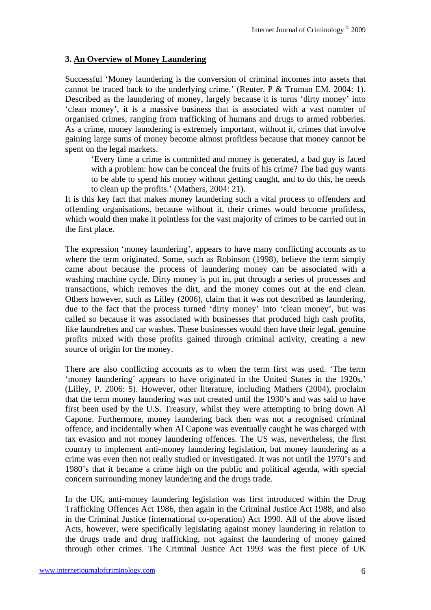# **3. An Overview of Money Laundering**

Successful 'Money laundering is the conversion of criminal incomes into assets that cannot be traced back to the underlying crime.' (Reuter, P & Truman EM. 2004: 1). Described as the laundering of money, largely because it is turns 'dirty money' into 'clean money', it is a massive business that is associated with a vast number of organised crimes, ranging from trafficking of humans and drugs to armed robberies. As a crime, money laundering is extremely important, without it, crimes that involve gaining large sums of money become almost profitless because that money cannot be spent on the legal markets.

'Every time a crime is committed and money is generated, a bad guy is faced with a problem: how can he conceal the fruits of his crime? The bad guy wants to be able to spend his money without getting caught, and to do this, he needs to clean up the profits.' (Mathers, 2004: 21).

It is this key fact that makes money laundering such a vital process to offenders and offending organisations, because without it, their crimes would become profitless, which would then make it pointless for the vast majority of crimes to be carried out in the first place.

The expression 'money laundering', appears to have many conflicting accounts as to where the term originated. Some, such as Robinson (1998), believe the term simply came about because the process of laundering money can be associated with a washing machine cycle. Dirty money is put in, put through a series of processes and transactions, which removes the dirt, and the money comes out at the end clean. Others however, such as Lilley (2006), claim that it was not described as laundering, due to the fact that the process turned 'dirty money' into 'clean money', but was called so because it was associated with businesses that produced high cash profits, like laundrettes and car washes. These businesses would then have their legal, genuine profits mixed with those profits gained through criminal activity, creating a new source of origin for the money.

There are also conflicting accounts as to when the term first was used. 'The term 'money laundering' appears to have originated in the United States in the 1920s.' (Lilley, P. 2006: 5). However, other literature, including Mathers (2004), proclaim that the term money laundering was not created until the 1930's and was said to have first been used by the U.S. Treasury, whilst they were attempting to bring down Al Capone. Furthermore, money laundering back then was not a recognised criminal offence, and incidentally when Al Capone was eventually caught he was charged with tax evasion and not money laundering offences. The US was, nevertheless, the first country to implement anti-money laundering legislation, but money laundering as a crime was even then not really studied or investigated. It was not until the 1970's and 1980's that it became a crime high on the public and political agenda, with special concern surrounding money laundering and the drugs trade.

In the UK, anti-money laundering legislation was first introduced within the Drug Trafficking Offences Act 1986, then again in the Criminal Justice Act 1988, and also in the Criminal Justice (international co-operation) Act 1990. All of the above listed Acts, however, were specifically legislating against money laundering in relation to the drugs trade and drug trafficking, not against the laundering of money gained through other crimes. The Criminal Justice Act 1993 was the first piece of UK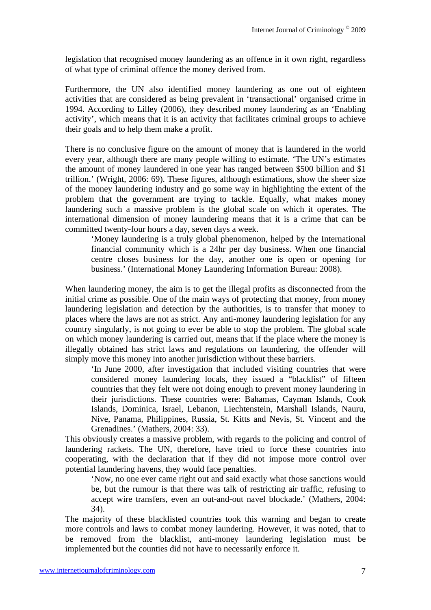legislation that recognised money laundering as an offence in it own right, regardless of what type of criminal offence the money derived from.

Furthermore, the UN also identified money laundering as one out of eighteen activities that are considered as being prevalent in 'transactional' organised crime in 1994. According to Lilley (2006), they described money laundering as an 'Enabling activity', which means that it is an activity that facilitates criminal groups to achieve their goals and to help them make a profit.

There is no conclusive figure on the amount of money that is laundered in the world every year, although there are many people willing to estimate. 'The UN's estimates the amount of money laundered in one year has ranged between \$500 billion and \$1 trillion.' (Wright, 2006: 69). These figures, although estimations, show the sheer size of the money laundering industry and go some way in highlighting the extent of the problem that the government are trying to tackle. Equally, what makes money laundering such a massive problem is the global scale on which it operates. The international dimension of money laundering means that it is a crime that can be committed twenty-four hours a day, seven days a week.

'Money laundering is a truly global phenomenon, helped by the International financial community which is a 24hr per day business. When one financial centre closes business for the day, another one is open or opening for business.' (International Money Laundering Information Bureau: 2008).

When laundering money, the aim is to get the illegal profits as disconnected from the initial crime as possible. One of the main ways of protecting that money, from money laundering legislation and detection by the authorities, is to transfer that money to places where the laws are not as strict. Any anti-money laundering legislation for any country singularly, is not going to ever be able to stop the problem. The global scale on which money laundering is carried out, means that if the place where the money is illegally obtained has strict laws and regulations on laundering, the offender will simply move this money into another jurisdiction without these barriers.

'In June 2000, after investigation that included visiting countries that were considered money laundering locals, they issued a "blacklist" of fifteen countries that they felt were not doing enough to prevent money laundering in their jurisdictions. These countries were: Bahamas, Cayman Islands, Cook Islands, Dominica, Israel, Lebanon, Liechtenstein, Marshall Islands, Nauru, Nive, Panama, Philippines, Russia, St. Kitts and Nevis, St. Vincent and the Grenadines.' (Mathers, 2004: 33).

This obviously creates a massive problem, with regards to the policing and control of laundering rackets. The UN, therefore, have tried to force these countries into cooperating, with the declaration that if they did not impose more control over potential laundering havens, they would face penalties.

'Now, no one ever came right out and said exactly what those sanctions would be, but the rumour is that there was talk of restricting air traffic, refusing to accept wire transfers, even an out-and-out navel blockade.' (Mathers, 2004: 34).

The majority of these blacklisted countries took this warning and began to create more controls and laws to combat money laundering. However, it was noted, that to be removed from the blacklist, anti-money laundering legislation must be implemented but the counties did not have to necessarily enforce it.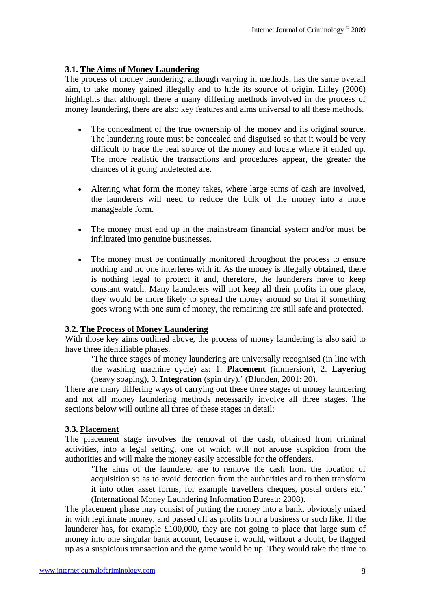## **3.1. The Aims of Money Laundering**

The process of money laundering, although varying in methods, has the same overall aim, to take money gained illegally and to hide its source of origin. Lilley (2006) highlights that although there a many differing methods involved in the process of money laundering, there are also key features and aims universal to all these methods.

- The concealment of the true ownership of the money and its original source. The laundering route must be concealed and disguised so that it would be very difficult to trace the real source of the money and locate where it ended up. The more realistic the transactions and procedures appear, the greater the chances of it going undetected are.
- Altering what form the money takes, where large sums of cash are involved, the launderers will need to reduce the bulk of the money into a more manageable form.
- The money must end up in the mainstream financial system and/or must be infiltrated into genuine businesses.
- The money must be continually monitored throughout the process to ensure nothing and no one interferes with it. As the money is illegally obtained, there is nothing legal to protect it and, therefore, the launderers have to keep constant watch. Many launderers will not keep all their profits in one place, they would be more likely to spread the money around so that if something goes wrong with one sum of money, the remaining are still safe and protected.

## **3.2. The Process of Money Laundering**

With those key aims outlined above, the process of money laundering is also said to have three identifiable phases.

'The three stages of money laundering are universally recognised (in line with the washing machine cycle) as: 1. **Placement** (immersion), 2. **Layering** (heavy soaping), 3. **Integration** (spin dry).' (Blunden, 2001: 20).

There are many differing ways of carrying out these three stages of money laundering and not all money laundering methods necessarily involve all three stages. The sections below will outline all three of these stages in detail:

## **3.3. Placement**

The placement stage involves the removal of the cash, obtained from criminal activities, into a legal setting, one of which will not arouse suspicion from the authorities and will make the money easily accessible for the offenders.

'The aims of the launderer are to remove the cash from the location of acquisition so as to avoid detection from the authorities and to then transform it into other asset forms; for example travellers cheques, postal orders etc.' (International Money Laundering Information Bureau: 2008).

The placement phase may consist of putting the money into a bank, obviously mixed in with legitimate money, and passed off as profits from a business or such like. If the launderer has, for example £100,000, they are not going to place that large sum of money into one singular bank account, because it would, without a doubt, be flagged up as a suspicious transaction and the game would be up. They would take the time to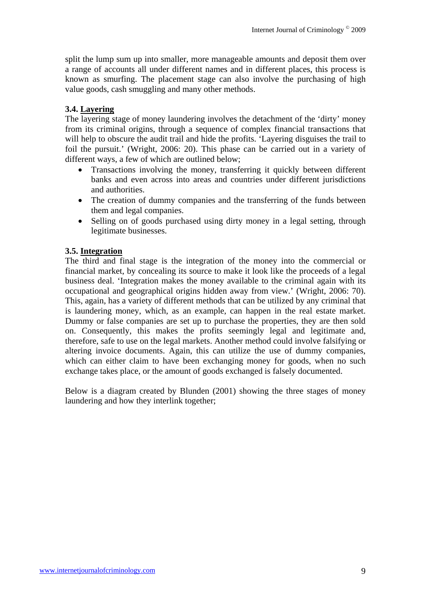split the lump sum up into smaller, more manageable amounts and deposit them over a range of accounts all under different names and in different places, this process is known as smurfing. The placement stage can also involve the purchasing of high value goods, cash smuggling and many other methods.

# **3.4. Layering**

The layering stage of money laundering involves the detachment of the 'dirty' money from its criminal origins, through a sequence of complex financial transactions that will help to obscure the audit trail and hide the profits. 'Layering disguises the trail to foil the pursuit.' (Wright, 2006: 20). This phase can be carried out in a variety of different ways, a few of which are outlined below;

- Transactions involving the money, transferring it quickly between different banks and even across into areas and countries under different jurisdictions and authorities.
- The creation of dummy companies and the transferring of the funds between them and legal companies.
- Selling on of goods purchased using dirty money in a legal setting, through legitimate businesses.

## **3.5. Integration**

The third and final stage is the integration of the money into the commercial or financial market, by concealing its source to make it look like the proceeds of a legal business deal. 'Integration makes the money available to the criminal again with its occupational and geographical origins hidden away from view.' (Wright, 2006: 70). This, again, has a variety of different methods that can be utilized by any criminal that is laundering money, which, as an example, can happen in the real estate market. Dummy or false companies are set up to purchase the properties, they are then sold on. Consequently, this makes the profits seemingly legal and legitimate and, therefore, safe to use on the legal markets. Another method could involve falsifying or altering invoice documents. Again, this can utilize the use of dummy companies, which can either claim to have been exchanging money for goods, when no such exchange takes place, or the amount of goods exchanged is falsely documented.

Below is a diagram created by Blunden (2001) showing the three stages of money laundering and how they interlink together;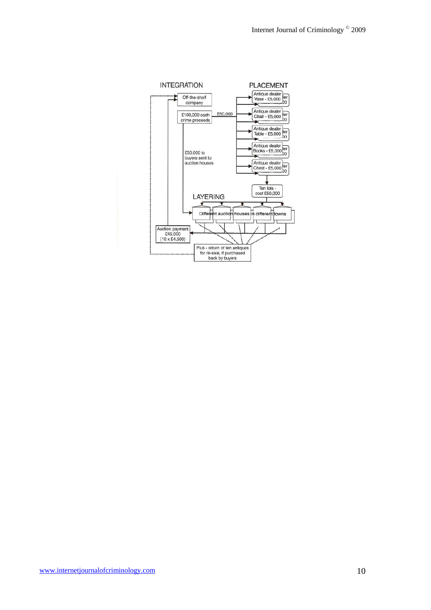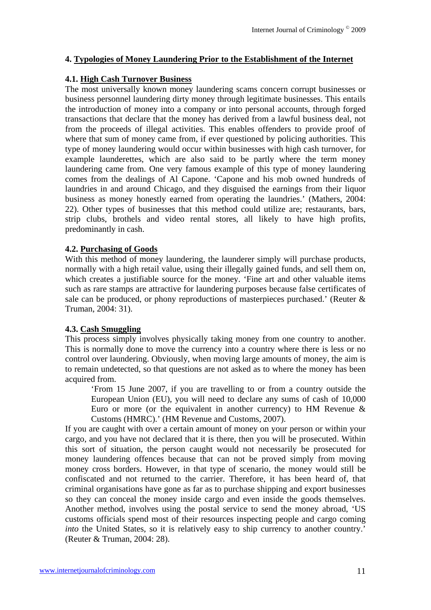## **4. Typologies of Money Laundering Prior to the Establishment of the Internet**

#### **4.1. High Cash Turnover Business**

The most universally known money laundering scams concern corrupt businesses or business personnel laundering dirty money through legitimate businesses. This entails the introduction of money into a company or into personal accounts, through forged transactions that declare that the money has derived from a lawful business deal, not from the proceeds of illegal activities. This enables offenders to provide proof of where that sum of money came from, if ever questioned by policing authorities. This type of money laundering would occur within businesses with high cash turnover, for example launderettes, which are also said to be partly where the term money laundering came from. One very famous example of this type of money laundering comes from the dealings of Al Capone. 'Capone and his mob owned hundreds of laundries in and around Chicago, and they disguised the earnings from their liquor business as money honestly earned from operating the laundries.' (Mathers, 2004: 22). Other types of businesses that this method could utilize are; restaurants, bars, strip clubs, brothels and video rental stores, all likely to have high profits, predominantly in cash.

#### **4.2. Purchasing of Goods**

With this method of money laundering, the launderer simply will purchase products, normally with a high retail value, using their illegally gained funds, and sell them on, which creates a justifiable source for the money. 'Fine art and other valuable items such as rare stamps are attractive for laundering purposes because false certificates of sale can be produced, or phony reproductions of masterpieces purchased.' (Reuter & Truman, 2004: 31).

## **4.3. Cash Smuggling**

This process simply involves physically taking money from one country to another. This is normally done to move the currency into a country where there is less or no control over laundering. Obviously, when moving large amounts of money, the aim is to remain undetected, so that questions are not asked as to where the money has been acquired from.

'From 15 June 2007, if you are travelling to or from a country outside the European Union (EU), you will need to declare any sums of cash of 10,000 Euro or more (or the equivalent in another currency) to HM Revenue  $\&$ Customs (HMRC).' (HM Revenue and Customs, 2007).

If you are caught with over a certain amount of money on your person or within your cargo, and you have not declared that it is there, then you will be prosecuted. Within this sort of situation, the person caught would not necessarily be prosecuted for money laundering offences because that can not be proved simply from moving money cross borders. However, in that type of scenario, the money would still be confiscated and not returned to the carrier. Therefore, it has been heard of, that criminal organisations have gone as far as to purchase shipping and export businesses so they can conceal the money inside cargo and even inside the goods themselves. Another method, involves using the postal service to send the money abroad, 'US customs officials spend most of their resources inspecting people and cargo coming *into* the United States, so it is relatively easy to ship currency to another country.' (Reuter & Truman, 2004: 28).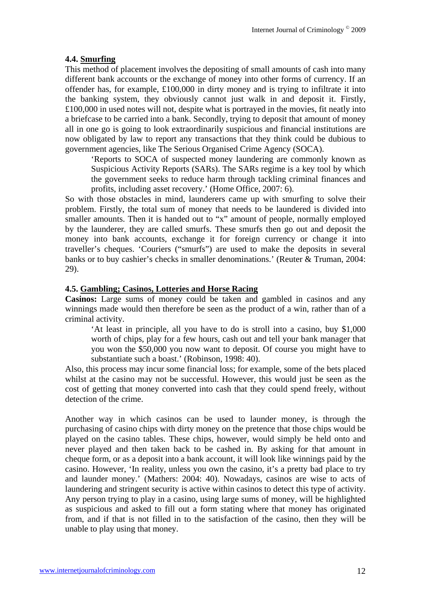#### **4.4. Smurfing**

This method of placement involves the depositing of small amounts of cash into many different bank accounts or the exchange of money into other forms of currency. If an offender has, for example, £100,000 in dirty money and is trying to infiltrate it into the banking system, they obviously cannot just walk in and deposit it. Firstly, £100,000 in used notes will not, despite what is portrayed in the movies, fit neatly into a briefcase to be carried into a bank. Secondly, trying to deposit that amount of money all in one go is going to look extraordinarily suspicious and financial institutions are now obligated by law to report any transactions that they think could be dubious to government agencies, like The Serious Organised Crime Agency (SOCA).

'Reports to SOCA of suspected money laundering are commonly known as Suspicious Activity Reports (SARs). The SARs regime is a key tool by which the government seeks to reduce harm through tackling criminal finances and profits, including asset recovery.' (Home Office, 2007: 6).

So with those obstacles in mind, launderers came up with smurfing to solve their problem. Firstly, the total sum of money that needs to be laundered is divided into smaller amounts. Then it is handed out to "x" amount of people, normally employed by the launderer, they are called smurfs. These smurfs then go out and deposit the money into bank accounts, exchange it for foreign currency or change it into traveller's cheques. 'Couriers ("smurfs") are used to make the deposits in several banks or to buy cashier's checks in smaller denominations.' (Reuter & Truman, 2004: 29).

#### **4.5. Gambling; Casinos, Lotteries and Horse Racing**

**Casinos:** Large sums of money could be taken and gambled in casinos and any winnings made would then therefore be seen as the product of a win, rather than of a criminal activity.

'At least in principle, all you have to do is stroll into a casino, buy \$1,000 worth of chips, play for a few hours, cash out and tell your bank manager that you won the \$50,000 you now want to deposit. Of course you might have to substantiate such a boast.' (Robinson, 1998: 40).

Also, this process may incur some financial loss; for example, some of the bets placed whilst at the casino may not be successful. However, this would just be seen as the cost of getting that money converted into cash that they could spend freely, without detection of the crime.

Another way in which casinos can be used to launder money, is through the purchasing of casino chips with dirty money on the pretence that those chips would be played on the casino tables. These chips, however, would simply be held onto and never played and then taken back to be cashed in. By asking for that amount in cheque form, or as a deposit into a bank account, it will look like winnings paid by the casino. However, 'In reality, unless you own the casino, it's a pretty bad place to try and launder money.' (Mathers: 2004: 40). Nowadays, casinos are wise to acts of laundering and stringent security is active within casinos to detect this type of activity. Any person trying to play in a casino, using large sums of money, will be highlighted as suspicious and asked to fill out a form stating where that money has originated from, and if that is not filled in to the satisfaction of the casino, then they will be unable to play using that money.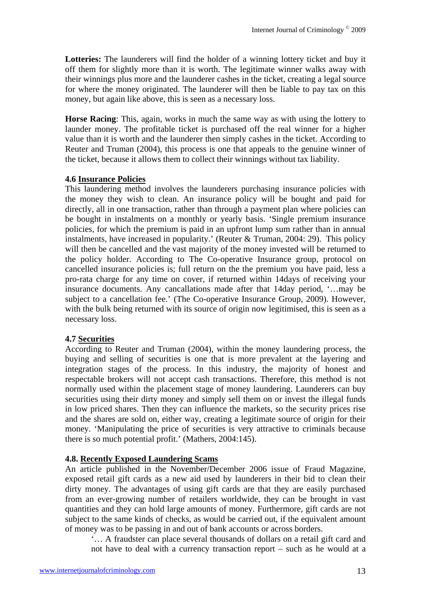**Lotteries:** The launderers will find the holder of a winning lottery ticket and buy it off them for slightly more than it is worth. The legitimate winner walks away with their winnings plus more and the launderer cashes in the ticket, creating a legal source for where the money originated. The launderer will then be liable to pay tax on this money, but again like above, this is seen as a necessary loss.

**Horse Racing**: This, again, works in much the same way as with using the lottery to launder money. The profitable ticket is purchased off the real winner for a higher value than it is worth and the launderer then simply cashes in the ticket. According to Reuter and Truman (2004), this process is one that appeals to the genuine winner of the ticket, because it allows them to collect their winnings without tax liability.

#### **4.6 Insurance Policies**

This laundering method involves the launderers purchasing insurance policies with the money they wish to clean. An insurance policy will be bought and paid for directly, all in one transaction, rather than through a payment plan where policies can be bought in instalments on a monthly or yearly basis. 'Single premium insurance policies, for which the premium is paid in an upfront lump sum rather than in annual instalments, have increased in popularity.' (Reuter & Truman, 2004: 29). This policy will then be cancelled and the vast majority of the money invested will be returned to the policy holder. According to The Co-operative Insurance group, protocol on cancelled insurance policies is; full return on the the premium you have paid, less a pro-rata charge for any time on cover, if returned within 14days of receiving your insurance documents. Any cancallations made after that 14day period, '…may be subject to a cancellation fee.' (The Co-operative Insurance Group, 2009). However, with the bulk being returned with its source of origin now legitimised, this is seen as a necessary loss.

#### **4.7 Securities**

According to Reuter and Truman (2004), within the money laundering process, the buying and selling of securities is one that is more prevalent at the layering and integration stages of the process. In this industry, the majority of honest and respectable brokers will not accept cash transactions. Therefore, this method is not normally used within the placement stage of money laundering. Launderers can buy securities using their dirty money and simply sell them on or invest the illegal funds in low priced shares. Then they can influence the markets, so the security prices rise and the shares are sold on, either way, creating a legitimate source of origin for their money. 'Manipulating the price of securities is very attractive to criminals because there is so much potential profit.' (Mathers, 2004:145).

#### **4.8. Recently Exposed Laundering Scams**

An article published in the November/December 2006 issue of Fraud Magazine, exposed retail gift cards as a new aid used by launderers in their bid to clean their dirty money. The advantages of using gift cards are that they are easily purchased from an ever-growing number of retailers worldwide, they can be brought in vast quantities and they can hold large amounts of money. Furthermore, gift cards are not subject to the same kinds of checks, as would be carried out, if the equivalent amount of money was to be passing in and out of bank accounts or across borders.

'… A fraudster can place several thousands of dollars on a retail gift card and not have to deal with a currency transaction report – such as he would at a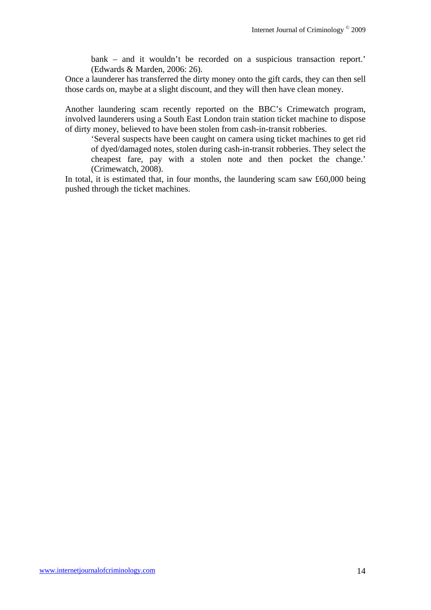bank – and it wouldn't be recorded on a suspicious transaction report.' (Edwards & Marden, 2006: 26).

Once a launderer has transferred the dirty money onto the gift cards, they can then sell those cards on, maybe at a slight discount, and they will then have clean money.

Another laundering scam recently reported on the BBC's Crimewatch program, involved launderers using a South East London train station ticket machine to dispose of dirty money, believed to have been stolen from cash-in-transit robberies.

'Several suspects have been caught on camera using ticket machines to get rid of dyed/damaged notes, stolen during cash-in-transit robberies. They select the cheapest fare, pay with a stolen note and then pocket the change.' (Crimewatch, 2008).

In total, it is estimated that, in four months, the laundering scam saw £60,000 being pushed through the ticket machines.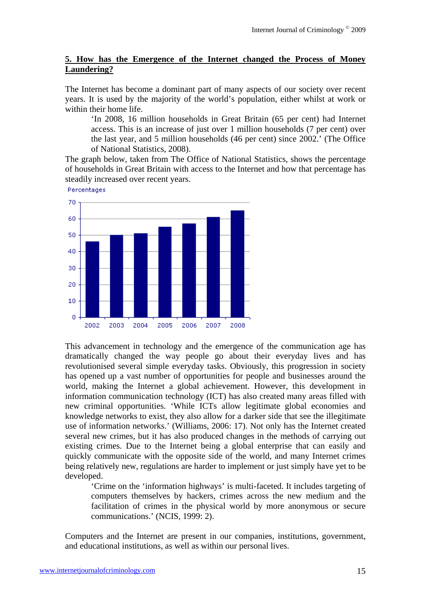#### **5. How has the Emergence of the Internet changed the Process of Money Laundering?**

The Internet has become a dominant part of many aspects of our society over recent years. It is used by the majority of the world's population, either whilst at work or within their home life.

'In 2008, 16 million households in Great Britain (65 per cent) had Internet access. This is an increase of just over 1 million households (7 per cent) over the last year, and 5 million households (46 per cent) since 2002.' (The Office of National Statistics, 2008).

The graph below, taken from The Office of National Statistics, shows the percentage of households in Great Britain with access to the Internet and how that percentage has steadily increased over recent years.

Percentages



This advancement in technology and the emergence of the communication age has dramatically changed the way people go about their everyday lives and has revolutionised several simple everyday tasks. Obviously, this progression in society has opened up a vast number of opportunities for people and businesses around the world, making the Internet a global achievement. However, this development in information communication technology (ICT) has also created many areas filled with new criminal opportunities. 'While ICTs allow legitimate global economies and knowledge networks to exist, they also allow for a darker side that see the illegitimate use of information networks.' (Williams, 2006: 17). Not only has the Internet created several new crimes, but it has also produced changes in the methods of carrying out existing crimes. Due to the Internet being a global enterprise that can easily and quickly communicate with the opposite side of the world, and many Internet crimes being relatively new, regulations are harder to implement or just simply have yet to be developed.

'Crime on the 'information highways' is multi-faceted. It includes targeting of computers themselves by hackers, crimes across the new medium and the facilitation of crimes in the physical world by more anonymous or secure communications.' (NCIS, 1999: 2).

Computers and the Internet are present in our companies, institutions, government, and educational institutions, as well as within our personal lives.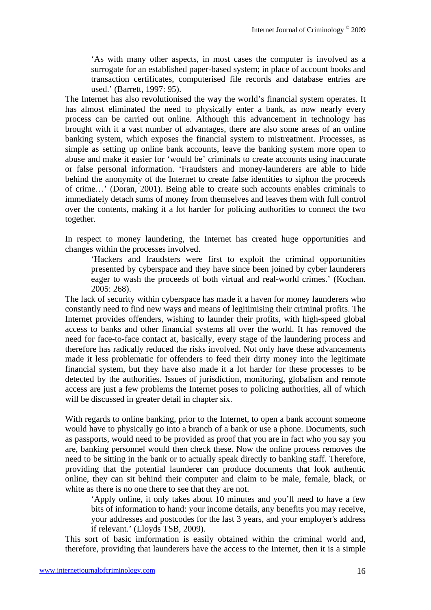'As with many other aspects, in most cases the computer is involved as a surrogate for an established paper-based system; in place of account books and transaction certificates, computerised file records and database entries are used.' (Barrett, 1997: 95).

The Internet has also revolutionised the way the world's financial system operates. It has almost eliminated the need to physically enter a bank, as now nearly every process can be carried out online. Although this advancement in technology has brought with it a vast number of advantages, there are also some areas of an online banking system, which exposes the financial system to mistreatment. Processes, as simple as setting up online bank accounts, leave the banking system more open to abuse and make it easier for 'would be' criminals to create accounts using inaccurate or false personal information. 'Fraudsters and money-launderers are able to hide behind the anonymity of the Internet to create false identities to siphon the proceeds of crime…' (Doran, 2001). Being able to create such accounts enables criminals to immediately detach sums of money from themselves and leaves them with full control over the contents, making it a lot harder for policing authorities to connect the two together.

In respect to money laundering, the Internet has created huge opportunities and changes within the processes involved.

'Hackers and fraudsters were first to exploit the criminal opportunities presented by cyberspace and they have since been joined by cyber launderers eager to wash the proceeds of both virtual and real-world crimes.' (Kochan. 2005: 268).

The lack of security within cyberspace has made it a haven for money launderers who constantly need to find new ways and means of legitimising their criminal profits. The Internet provides offenders, wishing to launder their profits, with high-speed global access to banks and other financial systems all over the world. It has removed the need for face-to-face contact at, basically, every stage of the laundering process and therefore has radically reduced the risks involved. Not only have these advancements made it less problematic for offenders to feed their dirty money into the legitimate financial system, but they have also made it a lot harder for these processes to be detected by the authorities. Issues of jurisdiction, monitoring, globalism and remote access are just a few problems the Internet poses to policing authorities, all of which will be discussed in greater detail in chapter six.

With regards to online banking, prior to the Internet, to open a bank account someone would have to physically go into a branch of a bank or use a phone. Documents, such as passports, would need to be provided as proof that you are in fact who you say you are, banking personnel would then check these. Now the online process removes the need to be sitting in the bank or to actually speak directly to banking staff. Therefore, providing that the potential launderer can produce documents that look authentic online, they can sit behind their computer and claim to be male, female, black, or white as there is no one there to see that they are not.

'Apply online, it only takes about 10 minutes and you'll need to have a few bits of information to hand: your income details, any benefits you may receive, your addresses and postcodes for the last 3 years, and your employer's address if relevant.' (Lloyds TSB, 2009).

This sort of basic imformation is easily obtained within the criminal world and, therefore, providing that launderers have the access to the Internet, then it is a simple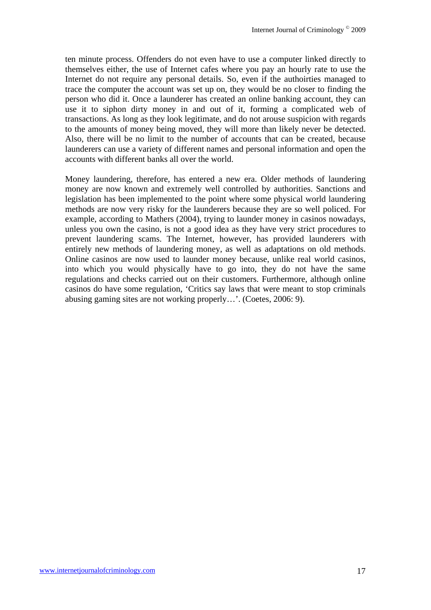ten minute process. Offenders do not even have to use a computer linked directly to themselves either, the use of Internet cafes where you pay an hourly rate to use the Internet do not require any personal details. So, even if the authoirties managed to trace the computer the account was set up on, they would be no closer to finding the person who did it. Once a launderer has created an online banking account, they can use it to siphon dirty money in and out of it, forming a complicated web of transactions. As long as they look legitimate, and do not arouse suspicion with regards to the amounts of money being moved, they will more than likely never be detected. Also, there will be no limit to the number of accounts that can be created, because launderers can use a variety of different names and personal information and open the accounts with different banks all over the world.

Money laundering, therefore, has entered a new era. Older methods of laundering money are now known and extremely well controlled by authorities. Sanctions and legislation has been implemented to the point where some physical world laundering methods are now very risky for the launderers because they are so well policed. For example, according to Mathers (2004), trying to launder money in casinos nowadays, unless you own the casino, is not a good idea as they have very strict procedures to prevent laundering scams. The Internet, however, has provided launderers with entirely new methods of laundering money, as well as adaptations on old methods. Online casinos are now used to launder money because, unlike real world casinos, into which you would physically have to go into, they do not have the same regulations and checks carried out on their customers. Furthermore, although online casinos do have some regulation, 'Critics say laws that were meant to stop criminals abusing gaming sites are not working properly…'. (Coetes, 2006: 9).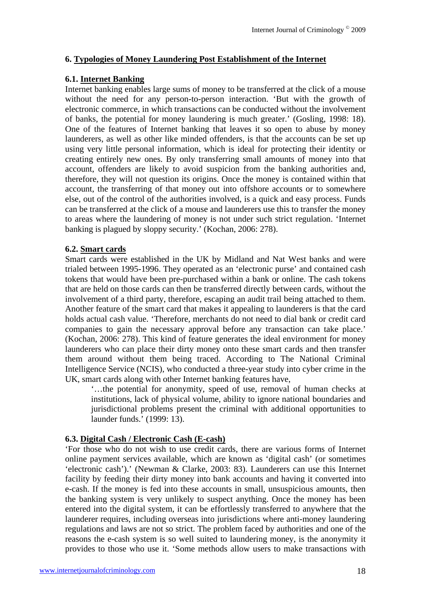# **6. Typologies of Money Laundering Post Establishment of the Internet**

#### **6.1. Internet Banking**

Internet banking enables large sums of money to be transferred at the click of a mouse without the need for any person-to-person interaction. 'But with the growth of electronic commerce, in which transactions can be conducted without the involvement of banks, the potential for money laundering is much greater.' (Gosling, 1998: 18). One of the features of Internet banking that leaves it so open to abuse by money launderers, as well as other like minded offenders, is that the accounts can be set up using very little personal information, which is ideal for protecting their identity or creating entirely new ones. By only transferring small amounts of money into that account, offenders are likely to avoid suspicion from the banking authorities and, therefore, they will not question its origins. Once the money is contained within that account, the transferring of that money out into offshore accounts or to somewhere else, out of the control of the authorities involved, is a quick and easy process. Funds can be transferred at the click of a mouse and launderers use this to transfer the money to areas where the laundering of money is not under such strict regulation. 'Internet banking is plagued by sloppy security.' (Kochan, 2006: 278).

#### **6.2. Smart cards**

Smart cards were established in the UK by Midland and Nat West banks and were trialed between 1995-1996. They operated as an 'electronic purse' and contained cash tokens that would have been pre-purchased within a bank or online. The cash tokens that are held on those cards can then be transferred directly between cards, without the involvement of a third party, therefore, escaping an audit trail being attached to them. Another feature of the smart card that makes it appealing to launderers is that the card holds actual cash value. 'Therefore, merchants do not need to dial bank or credit card companies to gain the necessary approval before any transaction can take place.' (Kochan, 2006: 278). This kind of feature generates the ideal environment for money launderers who can place their dirty money onto these smart cards and then transfer them around without them being traced. According to The National Criminal Intelligence Service (NCIS), who conducted a three-year study into cyber crime in the UK, smart cards along with other Internet banking features have,

'…the potential for anonymity, speed of use, removal of human checks at institutions, lack of physical volume, ability to ignore national boundaries and jurisdictional problems present the criminal with additional opportunities to launder funds.' (1999: 13).

## **6.3. Digital Cash / Electronic Cash (E-cash)**

'For those who do not wish to use credit cards, there are various forms of Internet online payment services available, which are known as 'digital cash' (or sometimes 'electronic cash').' (Newman & Clarke, 2003: 83). Launderers can use this Internet facility by feeding their dirty money into bank accounts and having it converted into e-cash. If the money is fed into these accounts in small, unsuspicious amounts, then the banking system is very unlikely to suspect anything. Once the money has been entered into the digital system, it can be effortlessly transferred to anywhere that the launderer requires, including overseas into jurisdictions where anti-money laundering regulations and laws are not so strict. The problem faced by authorities and one of the reasons the e-cash system is so well suited to laundering money, is the anonymity it provides to those who use it. 'Some methods allow users to make transactions with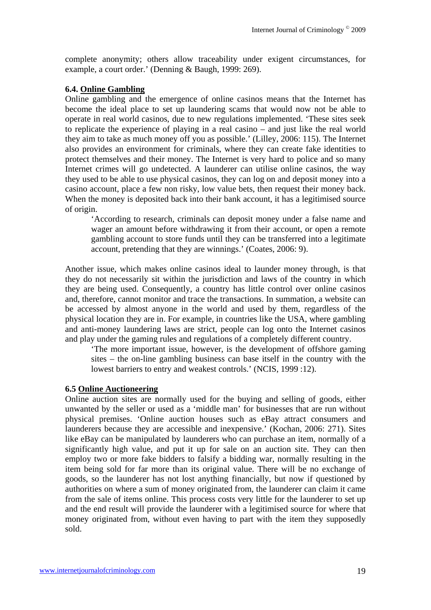complete anonymity; others allow traceability under exigent circumstances, for example, a court order.' (Denning & Baugh, 1999: 269).

#### **6.4. Online Gambling**

Online gambling and the emergence of online casinos means that the Internet has become the ideal place to set up laundering scams that would now not be able to operate in real world casinos, due to new regulations implemented. 'These sites seek to replicate the experience of playing in a real casino – and just like the real world they aim to take as much money off you as possible.' (Lilley, 2006: 115). The Internet also provides an environment for criminals, where they can create fake identities to protect themselves and their money. The Internet is very hard to police and so many Internet crimes will go undetected. A launderer can utilise online casinos, the way they used to be able to use physical casinos, they can log on and deposit money into a casino account, place a few non risky, low value bets, then request their money back. When the money is deposited back into their bank account, it has a legitimised source of origin.

'According to research, criminals can deposit money under a false name and wager an amount before withdrawing it from their account, or open a remote gambling account to store funds until they can be transferred into a legitimate account, pretending that they are winnings.' (Coates, 2006: 9).

Another issue, which makes online casinos ideal to launder money through, is that they do not necessarily sit within the jurisdiction and laws of the country in which they are being used. Consequently, a country has little control over online casinos and, therefore, cannot monitor and trace the transactions. In summation, a website can be accessed by almost anyone in the world and used by them, regardless of the physical location they are in. For example, in countries like the USA, where gambling and anti-money laundering laws are strict, people can log onto the Internet casinos and play under the gaming rules and regulations of a completely different country.

'The more important issue, however, is the development of offshore gaming sites – the on-line gambling business can base itself in the country with the lowest barriers to entry and weakest controls.' (NCIS, 1999 :12).

#### **6.5 Online Auctioneering**

Online auction sites are normally used for the buying and selling of goods, either unwanted by the seller or used as a 'middle man' for businesses that are run without physical premises. 'Online auction houses such as eBay attract consumers and launderers because they are accessible and inexpensive.' (Kochan, 2006: 271). Sites like eBay can be manipulated by launderers who can purchase an item, normally of a significantly high value, and put it up for sale on an auction site. They can then employ two or more fake bidders to falsify a bidding war, normally resulting in the item being sold for far more than its original value. There will be no exchange of goods, so the launderer has not lost anything financially, but now if questioned by authorities on where a sum of money originated from, the launderer can claim it came from the sale of items online. This process costs very little for the launderer to set up and the end result will provide the launderer with a legitimised source for where that money originated from, without even having to part with the item they supposedly sold.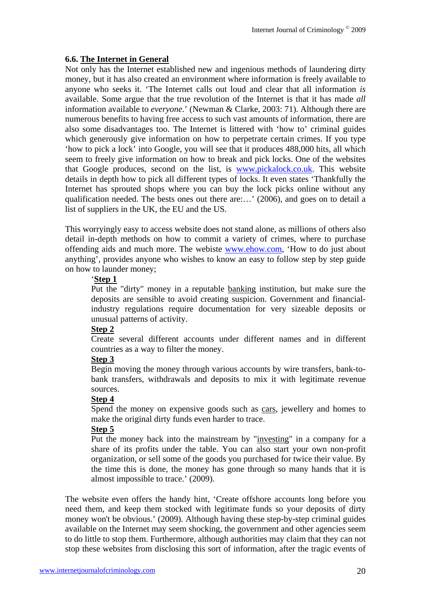# **6.6. The Internet in General**

Not only has the Internet established new and ingenious methods of laundering dirty money, but it has also created an environment where information is freely available to anyone who seeks it. 'The Internet calls out loud and clear that all information *is*  available. Some argue that the true revolution of the Internet is that it has made *all* information available to *everyone*.' (Newman & Clarke, 2003: 71). Although there are numerous benefits to having free access to such vast amounts of information, there are also some disadvantages too. The Internet is littered with 'how to' criminal guides which generously give information on how to perpetrate certain crimes. If you type 'how to pick a lock' into Google, you will see that it produces 488,000 hits, all which seem to freely give information on how to break and pick locks. One of the websites that Google produces, second on the list, is www.pickalock.co.uk. This website details in depth how to pick all different types of locks. It even states 'Thankfully the Internet has sprouted shops where you can buy the lock picks online without any qualification needed. The bests ones out there are:…' (2006), and goes on to detail a list of suppliers in the UK, the EU and the US.

This worryingly easy to access website does not stand alone, as millions of others also detail in-depth methods on how to commit a variety of crimes, where to purchase offending aids and much more. The webiste www.ehow.com, 'How to do just about anything', provides anyone who wishes to know an easy to follow step by step guide on how to launder money;

# '**Step 1**

Put the "dirty" money in a reputable banking institution, but make sure the deposits are sensible to avoid creating suspicion. Government and financialindustry regulations require documentation for very sizeable deposits or unusual patterns of activity.

## **Step 2**

Create several different accounts under different names and in different countries as a way to filter the money.

#### **Step 3**

Begin moving the money through various accounts by wire transfers, bank-tobank transfers, withdrawals and deposits to mix it with legitimate revenue sources.

## **Step 4**

Spend the money on expensive goods such as cars, jewellery and homes to make the original dirty funds even harder to trace.

## **Step 5**

Put the money back into the mainstream by "investing" in a company for a share of its profits under the table. You can also start your own non-profit organization, or sell some of the goods you purchased for twice their value. By the time this is done, the money has gone through so many hands that it is almost impossible to trace.' (2009).

The website even offers the handy hint, 'Create offshore accounts long before you need them, and keep them stocked with legitimate funds so your deposits of dirty money won't be obvious.' (2009). Although having these step-by-step criminal guides available on the Internet may seem shocking, the government and other agencies seem to do little to stop them. Furthermore, although authorities may claim that they can not stop these websites from disclosing this sort of information, after the tragic events of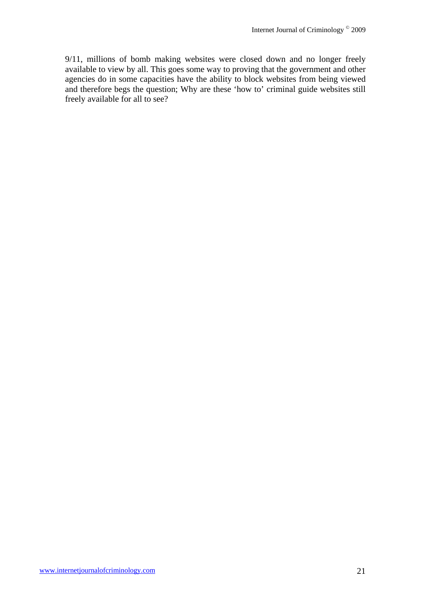9/11, millions of bomb making websites were closed down and no longer freely available to view by all. This goes some way to proving that the government and other agencies do in some capacities have the ability to block websites from being viewed and therefore begs the question; Why are these 'how to' criminal guide websites still freely available for all to see?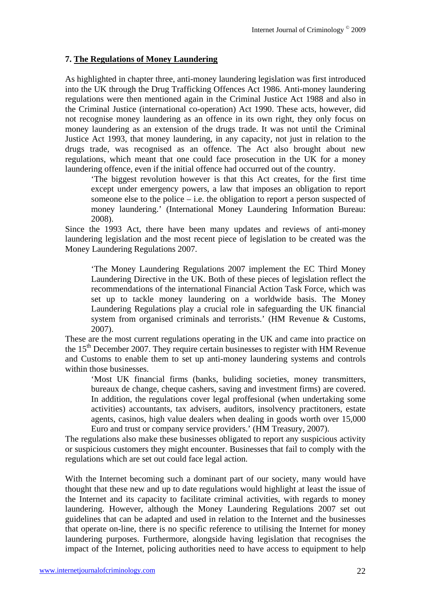# **7. The Regulations of Money Laundering**

As highlighted in chapter three, anti-money laundering legislation was first introduced into the UK through the Drug Trafficking Offences Act 1986. Anti-money laundering regulations were then mentioned again in the Criminal Justice Act 1988 and also in the Criminal Justice (international co-operation) Act 1990. These acts, however, did not recognise money laundering as an offence in its own right, they only focus on money laundering as an extension of the drugs trade. It was not until the Criminal Justice Act 1993, that money laundering, in any capacity, not just in relation to the drugs trade, was recognised as an offence. The Act also brought about new regulations, which meant that one could face prosecution in the UK for a money laundering offence, even if the initial offence had occurred out of the country.

'The biggest revolution however is that this Act creates, for the first time except under emergency powers, a law that imposes an obligation to report someone else to the police – i.e. the obligation to report a person suspected of money laundering.' (International Money Laundering Information Bureau: 2008).

Since the 1993 Act, there have been many updates and reviews of anti-money laundering legislation and the most recent piece of legislation to be created was the Money Laundering Regulations 2007.

'The Money Laundering Regulations 2007 implement the EC Third Money Laundering Directive in the UK. Both of these pieces of legislation reflect the recommendations of the international Financial Action Task Force, which was set up to tackle money laundering on a worldwide basis. The Money Laundering Regulations play a crucial role in safeguarding the UK financial system from organised criminals and terrorists.' (HM Revenue & Customs, 2007).

These are the most current regulations operating in the UK and came into practice on the  $15<sup>th</sup>$  December 2007. They require certain businesses to register with HM Revenue and Customs to enable them to set up anti-money laundering systems and controls within those businesses.

'Most UK financial firms (banks, buliding societies, money transmitters, bureaux de change, cheque cashers, saving and investment firms) are covered. In addition, the regulations cover legal proffesional (when undertaking some activities) accountants, tax advisers, auditors, insolvency practitoners, estate agents, casinos, high value dealers when dealing in goods worth over 15,000 Euro and trust or company service providers.' (HM Treasury, 2007).

The regulations also make these businesses obligated to report any suspicious activity or suspicious customers they might encounter. Businesses that fail to comply with the regulations which are set out could face legal action.

With the Internet becoming such a dominant part of our society, many would have thought that these new and up to date regulations would highlight at least the issue of the Internet and its capacity to facilitate criminal activities, with regards to money laundering. However, although the Money Laundering Regulations 2007 set out guidelines that can be adapted and used in relation to the Internet and the businesses that operate on-line, there is no specific reference to utilising the Internet for money laundering purposes. Furthermore, alongside having legislation that recognises the impact of the Internet, policing authorities need to have access to equipment to help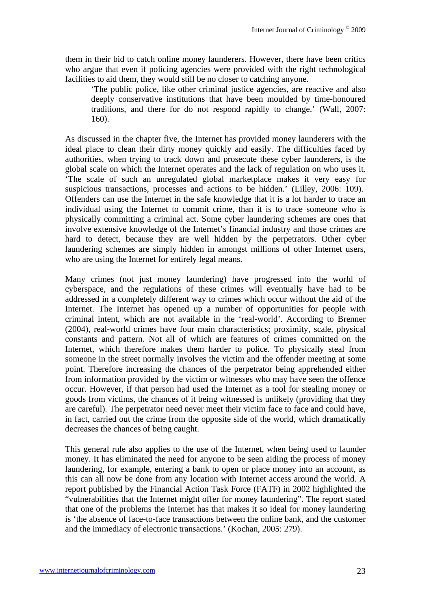them in their bid to catch online money launderers. However, there have been critics who argue that even if policing agencies were provided with the right technological facilities to aid them, they would still be no closer to catching anyone.

'The public police, like other criminal justice agencies, are reactive and also deeply conservative institutions that have been moulded by time-honoured traditions, and there for do not respond rapidly to change.' (Wall, 2007: 160).

As discussed in the chapter five, the Internet has provided money launderers with the ideal place to clean their dirty money quickly and easily. The difficulties faced by authorities, when trying to track down and prosecute these cyber launderers, is the global scale on which the Internet operates and the lack of regulation on who uses it. 'The scale of such an unregulated global marketplace makes it very easy for suspicious transactions, processes and actions to be hidden.' (Lilley, 2006: 109). Offenders can use the Internet in the safe knowledge that it is a lot harder to trace an individual using the Internet to commit crime, than it is to trace someone who is physically committing a criminal act. Some cyber laundering schemes are ones that involve extensive knowledge of the Internet's financial industry and those crimes are hard to detect, because they are well hidden by the perpetrators. Other cyber laundering schemes are simply hidden in amongst millions of other Internet users, who are using the Internet for entirely legal means.

Many crimes (not just money laundering) have progressed into the world of cyberspace, and the regulations of these crimes will eventually have had to be addressed in a completely different way to crimes which occur without the aid of the Internet. The Internet has opened up a number of opportunities for people with criminal intent, which are not available in the 'real-world'. According to Brenner (2004), real-world crimes have four main characteristics; proximity, scale, physical constants and pattern. Not all of which are features of crimes committed on the Internet, which therefore makes them harder to police. To physically steal from someone in the street normally involves the victim and the offender meeting at some point. Therefore increasing the chances of the perpetrator being apprehended either from information provided by the victim or witnesses who may have seen the offence occur. However, if that person had used the Internet as a tool for stealing money or goods from victims, the chances of it being witnessed is unlikely (providing that they are careful). The perpetrator need never meet their victim face to face and could have, in fact, carried out the crime from the opposite side of the world, which dramatically decreases the chances of being caught.

This general rule also applies to the use of the Internet, when being used to launder money. It has eliminated the need for anyone to be seen aiding the process of money laundering, for example, entering a bank to open or place money into an account, as this can all now be done from any location with Internet access around the world. A report published by the Financial Action Task Force (FATF) in 2002 highlighted the "vulnerabilities that the Internet might offer for money laundering". The report stated that one of the problems the Internet has that makes it so ideal for money laundering is 'the absence of face-to-face transactions between the online bank, and the customer and the immediacy of electronic transactions.' (Kochan, 2005: 279).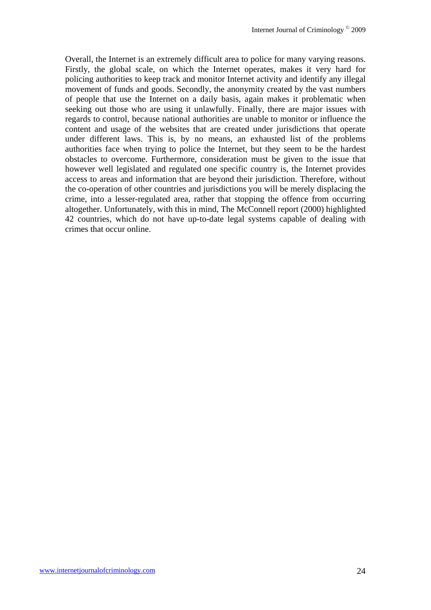Overall, the Internet is an extremely difficult area to police for many varying reasons. Firstly, the global scale, on which the Internet operates, makes it very hard for policing authorities to keep track and monitor Internet activity and identify any illegal movement of funds and goods. Secondly, the anonymity created by the vast numbers of people that use the Internet on a daily basis, again makes it problematic when seeking out those who are using it unlawfully. Finally, there are major issues with regards to control, because national authorities are unable to monitor or influence the content and usage of the websites that are created under jurisdictions that operate under different laws. This is, by no means, an exhausted list of the problems authorities face when trying to police the Internet, but they seem to be the hardest obstacles to overcome. Furthermore, consideration must be given to the issue that however well legislated and regulated one specific country is, the Internet provides access to areas and information that are beyond their jurisdiction. Therefore, without the co-operation of other countries and jurisdictions you will be merely displacing the crime, into a lesser-regulated area, rather that stopping the offence from occurring altogether. Unfortunately, with this in mind, The McConnell report (2000) highlighted 42 countries, which do not have up-to-date legal systems capable of dealing with crimes that occur online.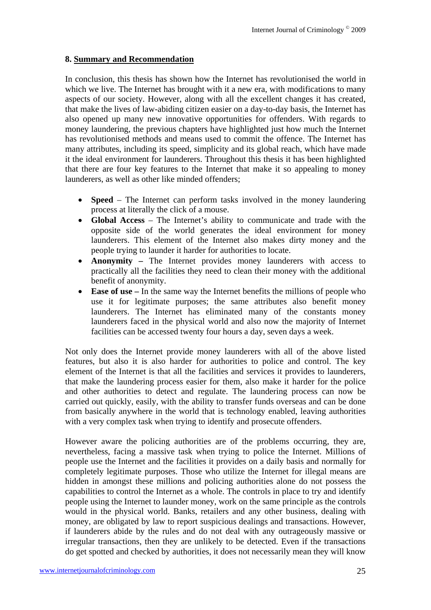#### **8. Summary and Recommendation**

In conclusion, this thesis has shown how the Internet has revolutionised the world in which we live. The Internet has brought with it a new era, with modifications to many aspects of our society. However, along with all the excellent changes it has created, that make the lives of law-abiding citizen easier on a day-to-day basis, the Internet has also opened up many new innovative opportunities for offenders. With regards to money laundering, the previous chapters have highlighted just how much the Internet has revolutionised methods and means used to commit the offence. The Internet has many attributes, including its speed, simplicity and its global reach, which have made it the ideal environment for launderers. Throughout this thesis it has been highlighted that there are four key features to the Internet that make it so appealing to money launderers, as well as other like minded offenders;

- **Speed** The Internet can perform tasks involved in the money laundering process at literally the click of a mouse.
- **Global Access**  The Internet's ability to communicate and trade with the opposite side of the world generates the ideal environment for money launderers. This element of the Internet also makes dirty money and the people trying to launder it harder for authorities to locate.
- **Anonymity** The Internet provides money launderers with access to practically all the facilities they need to clean their money with the additional benefit of anonymity.
- **Ease of use** In the same way the Internet benefits the millions of people who use it for legitimate purposes; the same attributes also benefit money launderers. The Internet has eliminated many of the constants money launderers faced in the physical world and also now the majority of Internet facilities can be accessed twenty four hours a day, seven days a week.

Not only does the Internet provide money launderers with all of the above listed features, but also it is also harder for authorities to police and control. The key element of the Internet is that all the facilities and services it provides to launderers, that make the laundering process easier for them, also make it harder for the police and other authorities to detect and regulate. The laundering process can now be carried out quickly, easily, with the ability to transfer funds overseas and can be done from basically anywhere in the world that is technology enabled, leaving authorities with a very complex task when trying to identify and prosecute offenders.

However aware the policing authorities are of the problems occurring, they are, nevertheless, facing a massive task when trying to police the Internet. Millions of people use the Internet and the facilities it provides on a daily basis and normally for completely legitimate purposes. Those who utilize the Internet for illegal means are hidden in amongst these millions and policing authorities alone do not possess the capabilities to control the Internet as a whole. The controls in place to try and identify people using the Internet to launder money, work on the same principle as the controls would in the physical world. Banks, retailers and any other business, dealing with money, are obligated by law to report suspicious dealings and transactions. However, if launderers abide by the rules and do not deal with any outrageously massive or irregular transactions, then they are unlikely to be detected. Even if the transactions do get spotted and checked by authorities, it does not necessarily mean they will know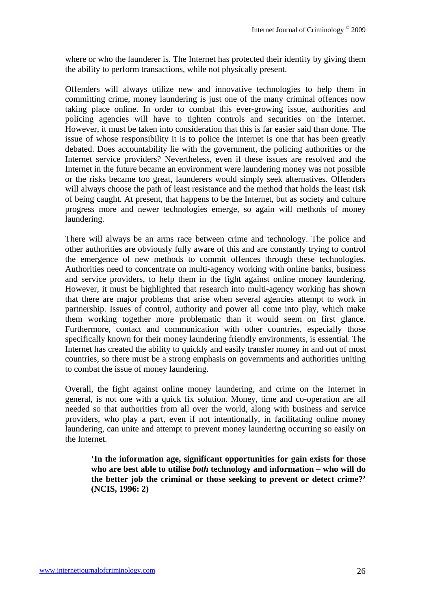where or who the launderer is. The Internet has protected their identity by giving them the ability to perform transactions, while not physically present.

Offenders will always utilize new and innovative technologies to help them in committing crime, money laundering is just one of the many criminal offences now taking place online. In order to combat this ever-growing issue, authorities and policing agencies will have to tighten controls and securities on the Internet. However, it must be taken into consideration that this is far easier said than done. The issue of whose responsibility it is to police the Internet is one that has been greatly debated. Does accountability lie with the government, the policing authorities or the Internet service providers? Nevertheless, even if these issues are resolved and the Internet in the future became an environment were laundering money was not possible or the risks became too great, launderers would simply seek alternatives. Offenders will always choose the path of least resistance and the method that holds the least risk of being caught. At present, that happens to be the Internet, but as society and culture progress more and newer technologies emerge, so again will methods of money laundering.

There will always be an arms race between crime and technology. The police and other authorities are obviously fully aware of this and are constantly trying to control the emergence of new methods to commit offences through these technologies. Authorities need to concentrate on multi-agency working with online banks, business and service providers, to help them in the fight against online money laundering. However, it must be highlighted that research into multi-agency working has shown that there are major problems that arise when several agencies attempt to work in partnership. Issues of control, authority and power all come into play, which make them working together more problematic than it would seem on first glance. Furthermore, contact and communication with other countries, especially those specifically known for their money laundering friendly environments, is essential. The Internet has created the ability to quickly and easily transfer money in and out of most countries, so there must be a strong emphasis on governments and authorities uniting to combat the issue of money laundering.

Overall, the fight against online money laundering, and crime on the Internet in general, is not one with a quick fix solution. Money, time and co-operation are all needed so that authorities from all over the world, along with business and service providers, who play a part, even if not intentionally, in facilitating online money laundering, can unite and attempt to prevent money laundering occurring so easily on the Internet.

**'In the information age, significant opportunities for gain exists for those who are best able to utilise** *both* **technology and information – who will do the better job the criminal or those seeking to prevent or detect crime?' (NCIS, 1996: 2)**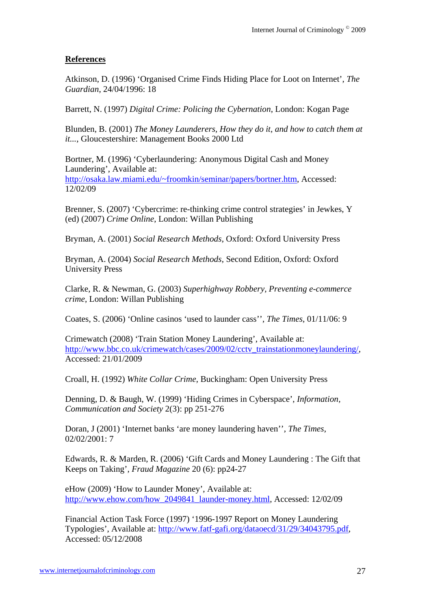## **References**

Atkinson, D. (1996) 'Organised Crime Finds Hiding Place for Loot on Internet', *The Guardian*, 24/04/1996: 18

Barrett, N. (1997) *Digital Crime: Policing the Cybernation*, London: Kogan Page

Blunden, B. (2001) *The Money Launderers, How they do it, and how to catch them at it...*, Gloucestershire: Management Books 2000 Ltd

Bortner, M. (1996) 'Cyberlaundering: Anonymous Digital Cash and Money Laundering', Available at: http://osaka.law.miami.edu/~froomkin/seminar/papers/bortner.htm, Accessed: 12/02/09

Brenner, S. (2007) 'Cybercrime: re-thinking crime control strategies' in Jewkes, Y (ed) (2007) *Crime Online*, London: Willan Publishing

Bryman, A. (2001) *Social Research Methods*, Oxford: Oxford University Press

Bryman, A. (2004) *Social Research Methods*, Second Edition, Oxford: Oxford University Press

Clarke, R. & Newman, G. (2003) *Superhighway Robbery, Preventing e-commerce crime*, London: Willan Publishing

Coates, S. (2006) 'Online casinos 'used to launder cass'', *The Times*, 01/11/06: 9

Crimewatch (2008) 'Train Station Money Laundering', Available at: http://www.bbc.co.uk/crimewatch/cases/2009/02/cctv\_trainstationmoneylaundering/, Accessed: 21/01/2009

Croall, H. (1992) *White Collar Crime*, Buckingham: Open University Press

Denning, D. & Baugh, W. (1999) 'Hiding Crimes in Cyberspace', *Information, Communication and Society* 2(3): pp 251-276

Doran, J (2001) 'Internet banks 'are money laundering haven'', *The Times*, 02/02/2001: 7

Edwards, R. & Marden, R. (2006) 'Gift Cards and Money Laundering : The Gift that Keeps on Taking', *Fraud Magazine* 20 (6): pp24-27

eHow (2009) 'How to Launder Money', Available at: http://www.ehow.com/how\_2049841\_launder-money.html, Accessed: 12/02/09

Financial Action Task Force (1997) '1996-1997 Report on Money Laundering Typologies', Available at: http://www.fatf-gafi.org/dataoecd/31/29/34043795.pdf, Accessed: 05/12/2008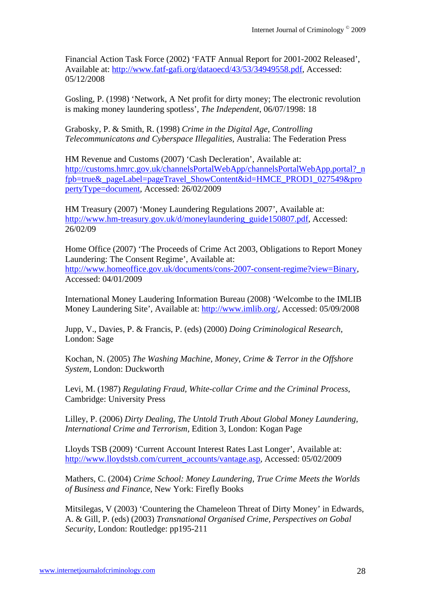Financial Action Task Force (2002) 'FATF Annual Report for 2001-2002 Released', Available at: http://www.fatf-gafi.org/dataoecd/43/53/34949558.pdf, Accessed: 05/12/2008

Gosling, P. (1998) 'Network, A Net profit for dirty money; The electronic revolution is making money laundering spotless', *The Independent*, 06/07/1998: 18

Grabosky, P. & Smith, R. (1998) *Crime in the Digital Age, Controlling Telecommunicatons and Cyberspace Illegalities*, Australia: The Federation Press

HM Revenue and Customs (2007) 'Cash Decleration', Available at: http://customs.hmrc.gov.uk/channelsPortalWebApp/channelsPortalWebApp.portal?\_n fpb=true&\_pageLabel=pageTravel\_ShowContent&id=HMCE\_PROD1\_027549&pro pertyType=document, Accessed: 26/02/2009

HM Treasury (2007) 'Money Laundering Regulations 2007', Available at: http://www.hm-treasury.gov.uk/d/moneylaundering\_guide150807.pdf, Accessed: 26/02/09

Home Office (2007) 'The Proceeds of Crime Act 2003, Obligations to Report Money Laundering: The Consent Regime', Available at: http://www.homeoffice.gov.uk/documents/cons-2007-consent-regime?view=Binary, Accessed: 04/01/2009

International Money Laudering Information Bureau (2008) 'Welcombe to the IMLIB Money Laundering Site', Available at: http://www.imlib.org/, Accessed: 05/09/2008

Jupp, V., Davies, P. & Francis, P. (eds) (2000) *Doing Criminological Research*, London: Sage

Kochan, N. (2005) *The Washing Machine, Money, Crime & Terror in the Offshore System*, London: Duckworth

Levi, M. (1987) *Regulating Fraud, White-collar Crime and the Criminal Process*, Cambridge: University Press

Lilley, P. (2006) *Dirty Dealing, The Untold Truth About Global Money Laundering, International Crime and Terrorism*, Edition 3, London: Kogan Page

Lloyds TSB (2009) 'Current Account Interest Rates Last Longer', Available at: http://www.lloydstsb.com/current\_accounts/vantage.asp, Accessed: 05/02/2009

Mathers, C. (2004) *Crime School: Money Laundering, True Crime Meets the Worlds of Business and Finance*, New York: Firefly Books

Mitsilegas, V (2003) 'Countering the Chameleon Threat of Dirty Money' in Edwards, A. & Gill, P. (eds) (2003) *Transnational Organised Crime, Perspectives on Gobal Security*, London: Routledge: pp195-211